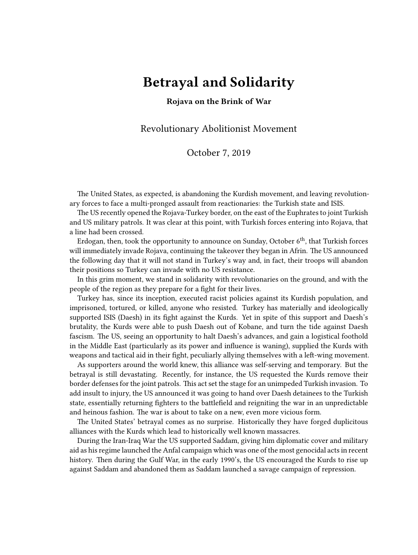## **Betrayal and Solidarity**

## **Rojava on the Brink of War**

Revolutionary Abolitionist Movement

October 7, 2019

The United States, as expected, is abandoning the Kurdish movement, and leaving revolutionary forces to face a multi-pronged assault from reactionaries: the Turkish state and ISIS.

The US recently opened the Rojava-Turkey border, on the east of the Euphrates to joint Turkish and US military patrols. It was clear at this point, with Turkish forces entering into Rojava, that a line had been crossed.

Erdogan, then, took the opportunity to announce on Sunday, October  $6<sup>th</sup>$ , that Turkish forces will immediately invade Rojava, continuing the takeover they began in Afrin. The US announced the following day that it will not stand in Turkey's way and, in fact, their troops will abandon their positions so Turkey can invade with no US resistance.

In this grim moment, we stand in solidarity with revolutionaries on the ground, and with the people of the region as they prepare for a fight for their lives.

Turkey has, since its inception, executed racist policies against its Kurdish population, and imprisoned, tortured, or killed, anyone who resisted. Turkey has materially and ideologically supported ISIS (Daesh) in its fight against the Kurds. Yet in spite of this support and Daesh's brutality, the Kurds were able to push Daesh out of Kobane, and turn the tide against Daesh fascism. The US, seeing an opportunity to halt Daesh's advances, and gain a logistical foothold in the Middle East (particularly as its power and influence is waning), supplied the Kurds with weapons and tactical aid in their fight, peculiarly allying themselves with a left-wing movement.

As supporters around the world knew, this alliance was self-serving and temporary. But the betrayal is still devastating. Recently, for instance, the US requested the Kurds remove their border defenses for the joint patrols. This act set the stage for an unimpeded Turkish invasion. To add insult to injury, the US announced it was going to hand over Daesh detainees to the Turkish state, essentially returning fighters to the battlefield and reigniting the war in an unpredictable and heinous fashion. The war is about to take on a new, even more vicious form.

The United States' betrayal comes as no surprise. Historically they have forged duplicitous alliances with the Kurds which lead to historically well known massacres.

During the Iran-Iraq War the US supported Saddam, giving him diplomatic cover and military aid as his regime launched the Anfal campaign which was one of the most genocidal acts in recent history. Then during the Gulf War, in the early 1990's, the US encouraged the Kurds to rise up against Saddam and abandoned them as Saddam launched a savage campaign of repression.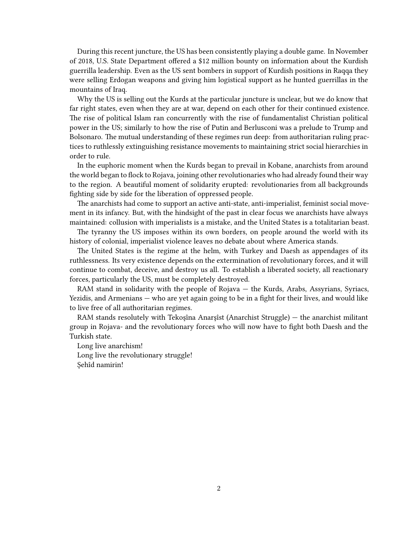During this recent juncture, the US has been consistently playing a double game. In November of 2018, U.S. State Department offered a \$12 million bounty on information about the Kurdish guerrilla leadership. Even as the US sent bombers in support of Kurdish positions in Raqqa they were selling Erdogan weapons and giving him logistical support as he hunted guerrillas in the mountains of Iraq.

Why the US is selling out the Kurds at the particular juncture is unclear, but we do know that far right states, even when they are at war, depend on each other for their continued existence. The rise of political Islam ran concurrently with the rise of fundamentalist Christian political power in the US; similarly to how the rise of Putin and Berlusconi was a prelude to Trump and Bolsonaro. The mutual understanding of these regimes run deep: from authoritarian ruling practices to ruthlessly extinguishing resistance movements to maintaining strict social hierarchies in order to rule.

In the euphoric moment when the Kurds began to prevail in Kobane, anarchists from around the world began to flock to Rojava, joining other revolutionaries who had already found their way to the region. A beautiful moment of solidarity erupted: revolutionaries from all backgrounds fighting side by side for the liberation of oppressed people.

The anarchists had come to support an active anti-state, anti-imperialist, feminist social movement in its infancy. But, with the hindsight of the past in clear focus we anarchists have always maintained: collusion with imperialists is a mistake, and the United States is a totalitarian beast.

The tyranny the US imposes within its own borders, on people around the world with its history of colonial, imperialist violence leaves no debate about where America stands.

The United States is the regime at the helm, with Turkey and Daesh as appendages of its ruthlessness. Its very existence depends on the extermination of revolutionary forces, and it will continue to combat, deceive, and destroy us all. To establish a liberated society, all reactionary forces, particularly the US, must be completely destroyed.

RAM stand in solidarity with the people of Rojava — the Kurds, Arabs, Assyrians, Syriacs, Yezidis, and Armenians — who are yet again going to be in a fight for their lives, and would like to live free of all authoritarian regimes.

RAM stands resolutely with Tekoşîna Anarşîst (Anarchist Struggle) — the anarchist militant group in Rojava- and the revolutionary forces who will now have to fight both Daesh and the Turkish state.

Long live anarchism! Long live the revolutionary struggle! Şehîd namirin!